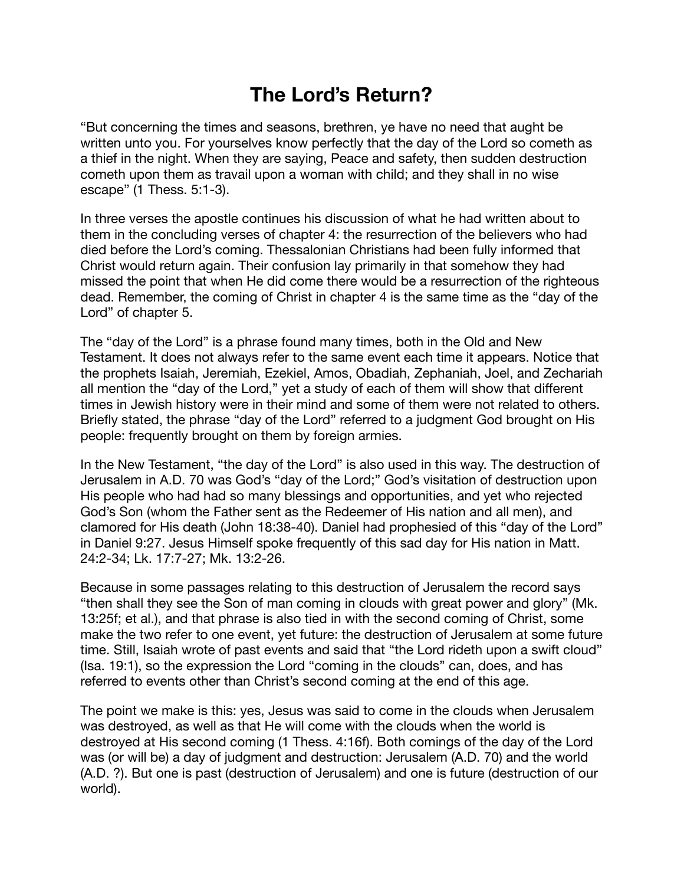## **The Lord's Return?**

"But concerning the times and seasons, brethren, ye have no need that aught be written unto you. For yourselves know perfectly that the day of the Lord so cometh as a thief in the night. When they are saying, Peace and safety, then sudden destruction cometh upon them as travail upon a woman with child; and they shall in no wise escape" (1 Thess. 5:1-3).

In three verses the apostle continues his discussion of what he had written about to them in the concluding verses of chapter 4: the resurrection of the believers who had died before the Lord's coming. Thessalonian Christians had been fully informed that Christ would return again. Their confusion lay primarily in that somehow they had missed the point that when He did come there would be a resurrection of the righteous dead. Remember, the coming of Christ in chapter 4 is the same time as the "day of the Lord" of chapter 5.

The "day of the Lord" is a phrase found many times, both in the Old and New Testament. It does not always refer to the same event each time it appears. Notice that the prophets Isaiah, Jeremiah, Ezekiel, Amos, Obadiah, Zephaniah, Joel, and Zechariah all mention the "day of the Lord," yet a study of each of them will show that different times in Jewish history were in their mind and some of them were not related to others. Briefly stated, the phrase "day of the Lord" referred to a judgment God brought on His people: frequently brought on them by foreign armies.

In the New Testament, "the day of the Lord" is also used in this way. The destruction of Jerusalem in A.D. 70 was God's "day of the Lord;" God's visitation of destruction upon His people who had had so many blessings and opportunities, and yet who rejected God's Son (whom the Father sent as the Redeemer of His nation and all men), and clamored for His death (John 18:38-40). Daniel had prophesied of this "day of the Lord" in Daniel 9:27. Jesus Himself spoke frequently of this sad day for His nation in Matt. 24:2-34; Lk. 17:7-27; Mk. 13:2-26.

Because in some passages relating to this destruction of Jerusalem the record says "then shall they see the Son of man coming in clouds with great power and glory" (Mk. 13:25f; et al.), and that phrase is also tied in with the second coming of Christ, some make the two refer to one event, yet future: the destruction of Jerusalem at some future time. Still, Isaiah wrote of past events and said that "the Lord rideth upon a swift cloud" (Isa. 19:1), so the expression the Lord "coming in the clouds" can, does, and has referred to events other than Christ's second coming at the end of this age.

The point we make is this: yes, Jesus was said to come in the clouds when Jerusalem was destroyed, as well as that He will come with the clouds when the world is destroyed at His second coming (1 Thess. 4:16f). Both comings of the day of the Lord was (or will be) a day of judgment and destruction: Jerusalem (A.D. 70) and the world (A.D. ?). But one is past (destruction of Jerusalem) and one is future (destruction of our world).